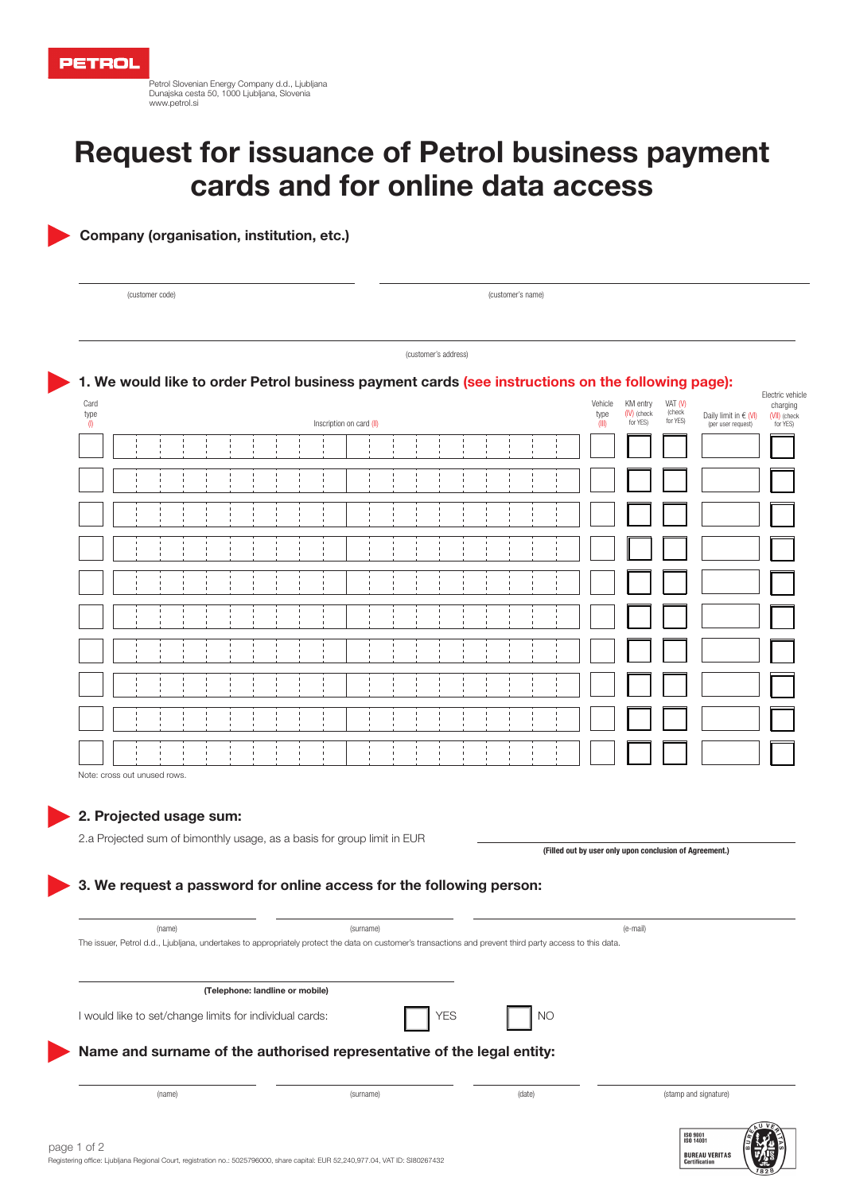Petrol Slovenian Energy Company d.d., Ljubljana Dunajska cesta 50, 1000 Ljubljana, Slovenia www.petrol.si

# Request for issuance of Petrol business payment cards and for online data access

Company (organisation, institution, etc.)

(customer code) (customer's name)

(customer's address)

# 1. We would like to order Petrol business payment cards (see instructions on the following page):

| Card<br>type<br>(                                                       |                                                                      |  |  |  |  |  |                |                |                | Inscription on card (II)    |  |                |                |                |  |  | Vehicle<br>type<br>(III) | KM entry<br>(IV) (check<br>for YES)                     | VAT (V)<br>(check<br>for YES) | Daily limit in $\in$ (VI)<br>(per user request) | Electric vehicle<br>charging<br>(VII) (check<br>for YES) |
|-------------------------------------------------------------------------|----------------------------------------------------------------------|--|--|--|--|--|----------------|----------------|----------------|-----------------------------|--|----------------|----------------|----------------|--|--|--------------------------|---------------------------------------------------------|-------------------------------|-------------------------------------------------|----------------------------------------------------------|
|                                                                         |                                                                      |  |  |  |  |  |                |                |                |                             |  |                |                |                |  |  |                          |                                                         |                               |                                                 |                                                          |
|                                                                         |                                                                      |  |  |  |  |  |                |                |                |                             |  |                |                |                |  |  |                          |                                                         |                               |                                                 |                                                          |
|                                                                         |                                                                      |  |  |  |  |  |                |                |                |                             |  |                |                |                |  |  |                          |                                                         |                               |                                                 |                                                          |
|                                                                         |                                                                      |  |  |  |  |  |                |                |                |                             |  |                |                |                |  |  |                          |                                                         |                               |                                                 |                                                          |
|                                                                         |                                                                      |  |  |  |  |  |                |                |                |                             |  | -1             |                |                |  |  |                          |                                                         |                               |                                                 |                                                          |
|                                                                         |                                                                      |  |  |  |  |  |                |                |                |                             |  |                |                |                |  |  |                          |                                                         |                               |                                                 |                                                          |
|                                                                         |                                                                      |  |  |  |  |  | $\blacksquare$ | $\blacksquare$ | $\blacksquare$ | $\mathbf{I}$<br>$\mathbf I$ |  | $\blacksquare$ | $\blacksquare$ | $\blacksquare$ |  |  |                          |                                                         |                               |                                                 |                                                          |
|                                                                         |                                                                      |  |  |  |  |  |                |                | $\blacksquare$ |                             |  | $\blacksquare$ |                |                |  |  |                          |                                                         |                               |                                                 |                                                          |
|                                                                         |                                                                      |  |  |  |  |  |                |                |                | $\mathbf{I}$<br>л           |  |                |                |                |  |  |                          |                                                         |                               |                                                 |                                                          |
|                                                                         |                                                                      |  |  |  |  |  | $\blacksquare$ |                |                | $\blacksquare$              |  | $\blacksquare$ |                |                |  |  |                          |                                                         |                               |                                                 |                                                          |
| Note: cross out unused rows.                                            |                                                                      |  |  |  |  |  |                |                |                |                             |  |                |                |                |  |  |                          |                                                         |                               |                                                 |                                                          |
| 2. Projected usage sum:                                                 |                                                                      |  |  |  |  |  |                |                |                |                             |  |                |                |                |  |  |                          |                                                         |                               |                                                 |                                                          |
| 2.a Projected sum of bimonthly usage, as a basis for group limit in EUR |                                                                      |  |  |  |  |  |                |                |                |                             |  |                |                |                |  |  |                          | (Filled out by user only upon conclusion of Agreement.) |                               |                                                 |                                                          |
|                                                                         | 3. We request a password for online access for the following person: |  |  |  |  |  |                |                |                |                             |  |                |                |                |  |  |                          |                                                         |                               |                                                 |                                                          |

| (name)                                                                                                                                                   | (surname)  |        | (e-mail)              |
|----------------------------------------------------------------------------------------------------------------------------------------------------------|------------|--------|-----------------------|
| The issuer, Petrol d.d., Ljubljana, undertakes to appropriately protect the data on customer's transactions and prevent third party access to this data. |            |        |                       |
|                                                                                                                                                          |            |        |                       |
|                                                                                                                                                          |            |        |                       |
| (Telephone: landline or mobile)                                                                                                                          |            |        |                       |
| I would like to set/change limits for individual cards:                                                                                                  | <b>YES</b> | NO     |                       |
| Name and surname of the authorised representative of the legal entity:                                                                                   |            |        |                       |
|                                                                                                                                                          |            |        |                       |
| (name)                                                                                                                                                   | (surname)  | (date) | (stamp and signature) |
|                                                                                                                                                          |            |        |                       |
|                                                                                                                                                          |            |        | <b>ISO 9001</b>       |
| $\sim$ $\sim$ $\sim$                                                                                                                                     |            |        | ISO 14001             |

**BUREAU VERITAS**